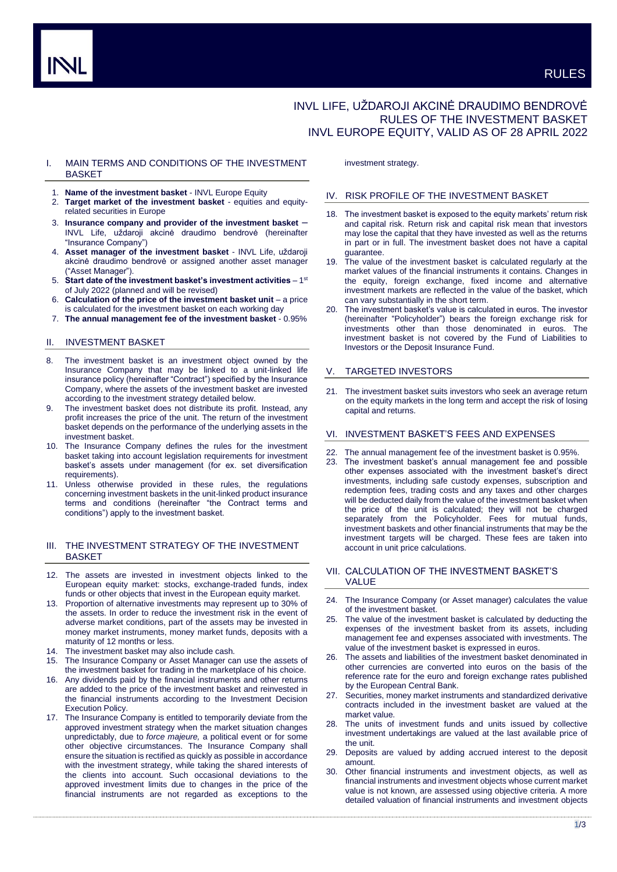# INVL LIFE, UŽDAROJI AKCINĖ DRAUDIMO BENDROVĖ RULES OF THE INVESTMENT BASKET INVL EUROPE EQUITY, VALID AS OF 28 APRIL 2022

# I. MAIN TERMS AND CONDITIONS OF THE INVESTMENT BASKET

- 1. **Name of the investment basket** INVL Europe Equity
- 2. **Target market of the investment basket** equities and equityrelated securities in Europe
- 3. **Insurance company and provider of the investment basket** INVL Life, uždaroji akcinė draudimo bendrovė (hereinafter "Insurance Company")
- 4. **Asset manager of the investment basket** INVL Life, uždaroji akcinė draudimo bendrovė or assigned another asset manager ("Asset Manager").
- 5. Start date of the investment basket's investment activities 1<sup>st</sup> of July 2022 (planned and will be revised)
- 6. **Calculation of the price of the investment basket unit**  a price is calculated for the investment basket on each working day
- 7. **The annual management fee of the investment basket** 0.95%

## II. INVESTMENT BASKET

- 8. The investment basket is an investment object owned by the Insurance Company that may be linked to a unit-linked life insurance policy (hereinafter "Contract") specified by the Insurance Company, where the assets of the investment basket are invested according to the investment strategy detailed below.
- 9. The investment basket does not distribute its profit. Instead, any profit increases the price of the unit. The return of the investment basket depends on the performance of the underlying assets in the investment basket.
- 10. The Insurance Company defines the rules for the investment basket taking into account legislation requirements for investment basket's assets under management (for ex. set diversification requirements).
- 11. Unless otherwise provided in these rules, the regulations concerning investment baskets in the unit-linked product insurance terms and conditions (hereinafter "the Contract terms and conditions") apply to the investment basket.

# III. THE INVESTMENT STRATEGY OF THE INVESTMENT BASKET

- 12. The assets are invested in investment objects linked to the European equity market: stocks, exchange-traded funds, index funds or other objects that invest in the European equity market.
- 13. Proportion of alternative investments may represent up to 30% of the assets. In order to reduce the investment risk in the event of adverse market conditions, part of the assets may be invested in money market instruments, money market funds, deposits with a maturity of 12 months or less.
- The investment basket may also include cash.
- 15. The Insurance Company or Asset Manager can use the assets of the investment basket for trading in the marketplace of his choice.
- Any dividends paid by the financial instruments and other returns are added to the price of the investment basket and reinvested in the financial instruments according to the Investment Decision Execution Policy.
- 17. The Insurance Company is entitled to temporarily deviate from the approved investment strategy when the market situation changes unpredictably, due to *force majeure,* a political event or for some other objective circumstances. The Insurance Company shall ensure the situation is rectified as quickly as possible in accordance with the investment strategy, while taking the shared interests of the clients into account. Such occasional deviations to the approved investment limits due to changes in the price of the financial instruments are not regarded as exceptions to the

investment strategy.

#### IV. RISK PROFILE OF THE INVESTMENT BASKET

- 18. The investment basket is exposed to the equity markets' return risk and capital risk. Return risk and capital risk mean that investors may lose the capital that they have invested as well as the returns in part or in full. The investment basket does not have a capital guarantee.
- 19. The value of the investment basket is calculated regularly at the market values of the financial instruments it contains. Changes in the equity, foreign exchange, fixed income and alternative investment markets are reflected in the value of the basket, which can vary substantially in the short term.
- 20. The investment basket's value is calculated in euros. The investor (hereinafter "Policyholder") bears the foreign exchange risk for investments other than those denominated in euros. The investment basket is not covered by the Fund of Liabilities to Investors or the Deposit Insurance Fund.

## TARGETED INVESTORS

21. The investment basket suits investors who seek an average return on the equity markets in the long term and accept the risk of losing capital and returns.

## VI. INVESTMENT BASKET'S FEES AND EXPENSES

- The annual management fee of the investment basket is 0.95%.
- The investment basket's annual management fee and possible other expenses associated with the investment basket's direct investments, including safe custody expenses, subscription and redemption fees, trading costs and any taxes and other charges will be deducted daily from the value of the investment basket when the price of the unit is calculated; they will not be charged separately from the Policyholder. Fees for mutual funds, investment baskets and other financial instruments that may be the investment targets will be charged. These fees are taken into account in unit price calculations.

## VII. CALCULATION OF THE INVESTMENT BASKET'S VALUE

- 24. The Insurance Company (or Asset manager) calculates the value of the investment basket.
- The value of the investment basket is calculated by deducting the expenses of the investment basket from its assets, including management fee and expenses associated with investments. The value of the investment basket is expressed in euros.
- 26. The assets and liabilities of the investment basket denominated in other currencies are converted into euros on the basis of the reference rate for the euro and foreign exchange rates published by the European Central Bank.
- 27. Securities, money market instruments and standardized derivative contracts included in the investment basket are valued at the market value.
- The units of investment funds and units issued by collective investment undertakings are valued at the last available price of the unit.
- Deposits are valued by adding accrued interest to the deposit amount.
- 30. Other financial instruments and investment objects, as well as financial instruments and investment objects whose current market value is not known, are assessed using objective criteria. A more detailed valuation of financial instruments and investment objects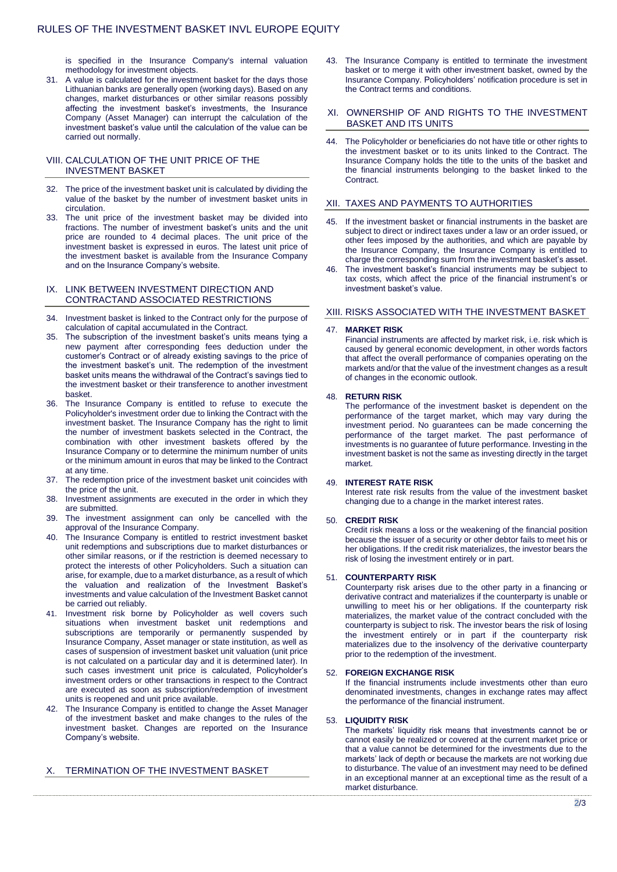is specified in the Insurance Company's internal valuation methodology for investment objects.

31. A value is calculated for the investment basket for the days those Lithuanian banks are generally open (working days). Based on any changes, market disturbances or other similar reasons possibly affecting the investment basket's investments, the Insurance Company (Asset Manager) can interrupt the calculation of the investment basket's value until the calculation of the value can be carried out normally.

# VIII. CALCULATION OF THE UNIT PRICE OF THE INVESTMENT BASKET

- 32. The price of the investment basket unit is calculated by dividing the value of the basket by the number of investment basket units in circulation.
- 33. The unit price of the investment basket may be divided into fractions. The number of investment basket's units and the unit price are rounded to 4 decimal places. The unit price of the investment basket is expressed in euros. The latest unit price of the investment basket is available from the Insurance Company and on the Insurance Company's website.

## IX. LINK BETWEEN INVESTMENT DIRECTION AND CONTRACTAND ASSOCIATED RESTRICTIONS

- 34. Investment basket is linked to the Contract only for the purpose of calculation of capital accumulated in the Contract.
- 35. The subscription of the investment basket's units means tying a new payment after corresponding fees deduction under the customer's Contract or of already existing savings to the price of the investment basket's unit. The redemption of the investment basket units means the withdrawal of the Contract's savings tied to the investment basket or their transference to another investment basket.
- 36. The Insurance Company is entitled to refuse to execute the Policyholder's investment order due to linking the Contract with the investment basket. The Insurance Company has the right to limit the number of investment baskets selected in the Contract, the combination with other investment baskets offered by the Insurance Company or to determine the minimum number of units or the minimum amount in euros that may be linked to the Contract at any time.
- 37. The redemption price of the investment basket unit coincides with the price of the unit.
- 38. Investment assignments are executed in the order in which they are submitted.
- 39. The investment assignment can only be cancelled with the approval of the Insurance Company.
- 40. The Insurance Company is entitled to restrict investment basket unit redemptions and subscriptions due to market disturbances or other similar reasons, or if the restriction is deemed necessary to protect the interests of other Policyholders. Such a situation can arise, for example, due to a market disturbance, as a result of which the valuation and realization of the Investment Basket's investments and value calculation of the Investment Basket cannot be carried out reliably.
- Investment risk borne by Policyholder as well covers such situations when investment basket unit redemptions and subscriptions are temporarily or permanently suspended by Insurance Company, Asset manager or state institution, as well as cases of suspension of investment basket unit valuation (unit price is not calculated on a particular day and it is determined later). In such cases investment unit price is calculated, Policyholder's investment orders or other transactions in respect to the Contract are executed as soon as subscription/redemption of investment units is reopened and unit price available.
- 42. The Insurance Company is entitled to change the Asset Manager of the investment basket and make changes to the rules of the investment basket. Changes are reported on the Insurance Company's website.

# X. TERMINATION OF THE INVESTMENT BASKET

43. The Insurance Company is entitled to terminate the investment basket or to merge it with other investment basket, owned by the Insurance Company. Policyholders' notification procedure is set in the Contract terms and conditions.

#### XI. OWNERSHIP OF AND RIGHTS TO THE INVESTMENT BASKET AND ITS UNITS

44. The Policyholder or beneficiaries do not have title or other rights to the investment basket or to its units linked to the Contract. The Insurance Company holds the title to the units of the basket and the financial instruments belonging to the basket linked to the Contract.

## XII. TAXES AND PAYMENTS TO AUTHORITIES

- If the investment basket or financial instruments in the basket are subject to direct or indirect taxes under a law or an order issued, or other fees imposed by the authorities, and which are payable by the Insurance Company, the Insurance Company is entitled to charge the corresponding sum from the investment basket's asset.
- 46. The investment basket's financial instruments may be subject to tax costs, which affect the price of the financial instrument's or investment basket's value.

# XIII. RISKS ASSOCIATED WITH THE INVESTMENT BASKET

#### 47. **MARKET RISK**

Financial instruments are affected by market risk, i.e. risk which is caused by general economic development, in other words factors that affect the overall performance of companies operating on the markets and/or that the value of the investment changes as a result of changes in the economic outlook.

#### 48. **RETURN RISK**

The performance of the investment basket is dependent on the performance of the target market, which may vary during the investment period. No guarantees can be made concerning the performance of the target market. The past performance of investments is no guarantee of future performance. Investing in the investment basket is not the same as investing directly in the target market.

## 49. **INTEREST RATE RISK**

Interest rate risk results from the value of the investment basket changing due to a change in the market interest rates.

## 50. **CREDIT RISK**

Credit risk means a loss or the weakening of the financial position because the issuer of a security or other debtor fails to meet his or her obligations. If the credit risk materializes, the investor bears the risk of losing the investment entirely or in part.

#### 51. **COUNTERPARTY RISK**

Counterparty risk arises due to the other party in a financing or derivative contract and materializes if the counterparty is unable or unwilling to meet his or her obligations. If the counterparty risk materializes, the market value of the contract concluded with the counterparty is subject to risk. The investor bears the risk of losing the investment entirely or in part if the counterparty risk materializes due to the insolvency of the derivative counterparty prior to the redemption of the investment.

#### 52. **FOREIGN EXCHANGE RISK**

If the financial instruments include investments other than euro denominated investments, changes in exchange rates may affect the performance of the financial instrument.

## 53. **LIQUIDITY RISK**

The markets' liquidity risk means that investments cannot be or cannot easily be realized or covered at the current market price or that a value cannot be determined for the investments due to the markets' lack of depth or because the markets are not working due to disturbance. The value of an investment may need to be defined in an exceptional manner at an exceptional time as the result of a market disturbance.